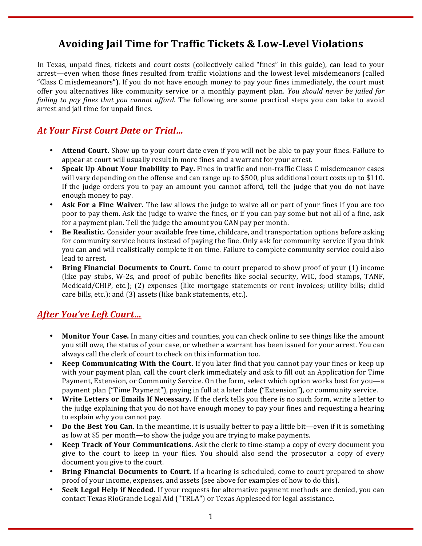# **Avoiding Jail Time for Traffic Tickets & Low-Level Violations**

In Texas, unpaid fines, tickets and court costs (collectively called "fines" in this guide), can lead to your arrest—even when those fines resulted from traffic violations and the lowest level misdemeanors (called "Class C misdemeanors"). If you do not have enough money to pay your fines immediately, the court must offer vou alternatives like community service or a monthly payment plan. *You should never be jailed for failing* to pay *fines that you cannot afford*. The following are some practical steps you can take to avoid arrest and jail time for unpaid fines.

## **At Your First Court Date or Trial...**

- **Attend Court.** Show up to your court date even if you will not be able to pay your fines. Failure to appear at court will usually result in more fines and a warrant for your arrest.
- **Speak Up About Your Inability to Pay.** Fines in traffic and non-traffic Class C misdemeanor cases will vary depending on the offense and can range up to \$500, plus additional court costs up to \$110. If the judge orders you to pay an amount you cannot afford, tell the judge that you do not have enough money to pay.
- Ask For a Fine Waiver. The law allows the judge to waive all or part of your fines if you are too poor to pay them. Ask the judge to waive the fines, or if you can pay some but not all of a fine, ask for a payment plan. Tell the judge the amount you CAN pay per month.
- **Be Realistic.** Consider your available free time, childcare, and transportation options before asking for community service hours instead of paying the fine. Only ask for community service if you think you can and will realistically complete it on time. Failure to complete community service could also lead to arrest.
- **Bring Financial Documents to Court.** Come to court prepared to show proof of your (1) income (like pay stubs, W-2s, and proof of public benefits like social security, WIC, food stamps, TANF, Medicaid/CHIP, etc.); (2) expenses (like mortgage statements or rent invoices; utility bills; child care bills, etc.); and (3) assets (like bank statements, etc.).

### *After You've Left Court…*

- **Monitor Your Case.** In many cities and counties, you can check online to see things like the amount you still owe, the status of your case, or whether a warrant has been issued for your arrest. You can always call the clerk of court to check on this information too.
- **Keep Communicating With the Court.** If you later find that you cannot pay your fines or keep up with your payment plan, call the court clerk immediately and ask to fill out an Application for Time Payment, Extension, or Community Service. On the form, select which option works best for you—a payment plan ("Time Payment"), paying in full at a later date ("Extension"), or community service.
- **Write Letters or Emails If Necessary.** If the clerk tells you there is no such form, write a letter to the judge explaining that you do not have enough money to pay your fines and requesting a hearing to explain why you cannot pay.
- **Do the Best You Can.** In the meantime, it is usually better to pay a little bit—even if it is something as low at \$5 per month—to show the judge you are trying to make payments.
- **Keep Track of Your Communications.** Ask the clerk to time-stamp a copy of every document you give to the court to keep in your files. You should also send the prosecutor a copy of every document you give to the court.
- **Bring Financial Documents to Court.** If a hearing is scheduled, come to court prepared to show proof of your income, expenses, and assets (see above for examples of how to do this).
- **Seek Legal Help if Needed.** If your requests for alternative payment methods are denied, you can contact Texas RioGrande Legal Aid ("TRLA") or Texas Appleseed for legal assistance.